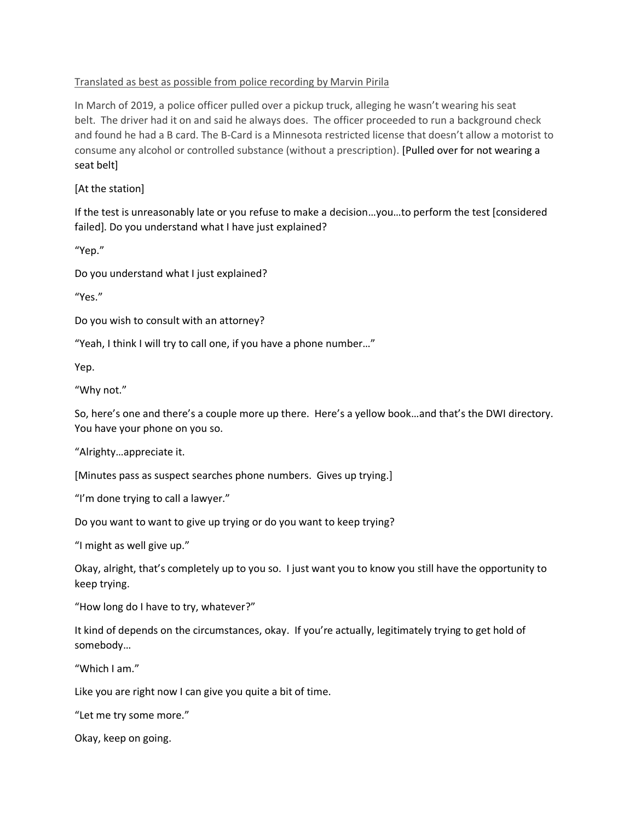## Translated as best as possible from police recording by Marvin Pirila

In March of 2019, a police officer pulled over a pickup truck, alleging he wasn't wearing his seat belt. The driver had it on and said he always does. The officer proceeded to run a background check and found he had a B card. The B-Card is a Minnesota restricted license that doesn't allow a motorist to consume any alcohol or controlled substance (without a prescription). [Pulled over for not wearing a seat belt]

[At the station]

If the test is unreasonably late or you refuse to make a decision…you…to perform the test [considered failed]. Do you understand what I have just explained?

"Yep."

Do you understand what I just explained?

"Yes."

Do you wish to consult with an attorney?

"Yeah, I think I will try to call one, if you have a phone number…"

Yep.

"Why not."

So, here's one and there's a couple more up there. Here's a yellow book…and that's the DWI directory. You have your phone on you so.

"Alrighty…appreciate it.

[Minutes pass as suspect searches phone numbers. Gives up trying.]

"I'm done trying to call a lawyer."

Do you want to want to give up trying or do you want to keep trying?

"I might as well give up."

Okay, alright, that's completely up to you so. I just want you to know you still have the opportunity to keep trying.

"How long do I have to try, whatever?"

It kind of depends on the circumstances, okay. If you're actually, legitimately trying to get hold of somebody…

"Which I am."

Like you are right now I can give you quite a bit of time.

"Let me try some more."

Okay, keep on going.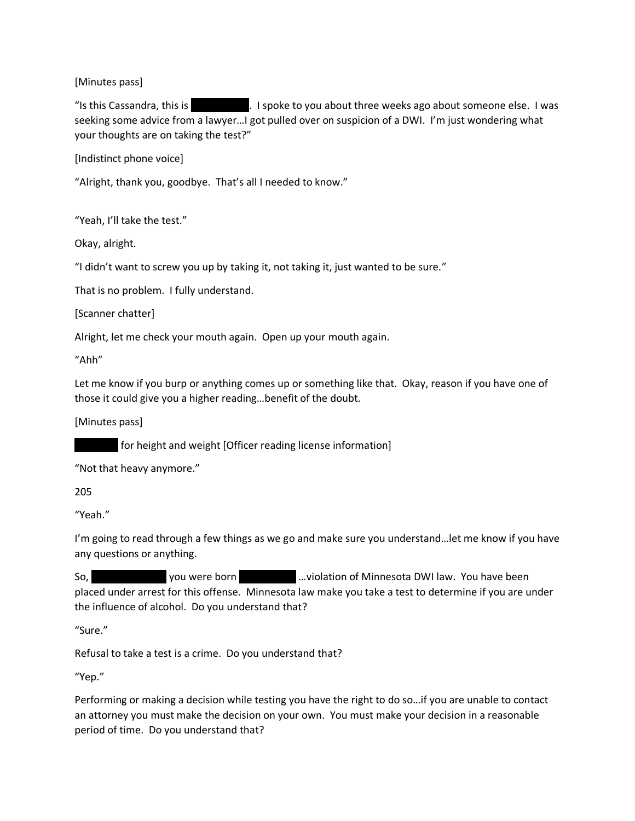[Minutes pass]

"Is this Cassandra, this is Tomy Speece to you about three weeks ago about someone else. I was seeking some advice from a lawyer…I got pulled over on suspicion of a DWI. I'm just wondering what your thoughts are on taking the test?"

[Indistinct phone voice]

"Alright, thank you, goodbye. That's all I needed to know."

"Yeah, I'll take the test."

Okay, alright.

"I didn't want to screw you up by taking it, not taking it, just wanted to be sure."

That is no problem. I fully understand.

[Scanner chatter]

Alright, let me check your mouth again. Open up your mouth again.

"Ahh"

Let me know if you burp or anything comes up or something like that. Okay, reason if you have one of those it could give you a higher reading…benefit of the doubt.

[Minutes pass]

for height and weight [Officer reading license information]

"Not that heavy anymore."

205

"Yeah."

I'm going to read through a few things as we go and make sure you understand…let me know if you have any questions or anything.

So, Anthony Speece you were born may be may been may be written both may be written by Speece you have been sub placed under arrest for this offense. Minnesota law make you take a test to determine if you are under the influence of alcohol. Do you understand that?

"Sure."

Refusal to take a test is a crime. Do you understand that?

"Yep."

Performing or making a decision while testing you have the right to do so…if you are unable to contact an attorney you must make the decision on your own. You must make your decision in a reasonable period of time. Do you understand that?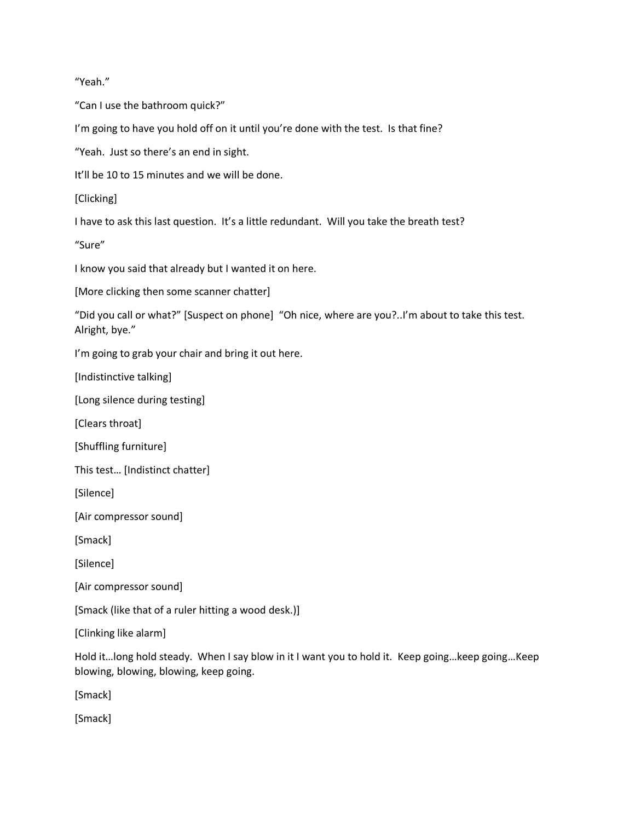"Yeah."

"Can I use the bathroom quick?"

I'm going to have you hold off on it until you're done with the test. Is that fine?

"Yeah. Just so there's an end in sight.

It'll be 10 to 15 minutes and we will be done.

[Clicking]

I have to ask this last question. It's a little redundant. Will you take the breath test?

"Sure"

I know you said that already but I wanted it on here.

[More clicking then some scanner chatter]

"Did you call or what?" [Suspect on phone] "Oh nice, where are you?..I'm about to take this test. Alright, bye."

I'm going to grab your chair and bring it out here.

[Indistinctive talking]

[Long silence during testing]

[Clears throat]

[Shuffling furniture]

This test… [Indistinct chatter]

[Silence]

[Air compressor sound]

[Smack]

[Silence]

[Air compressor sound]

[Smack (like that of a ruler hitting a wood desk.)]

[Clinking like alarm]

Hold it…long hold steady. When I say blow in it I want you to hold it. Keep going…keep going…Keep blowing, blowing, blowing, keep going.

[Smack]

[Smack]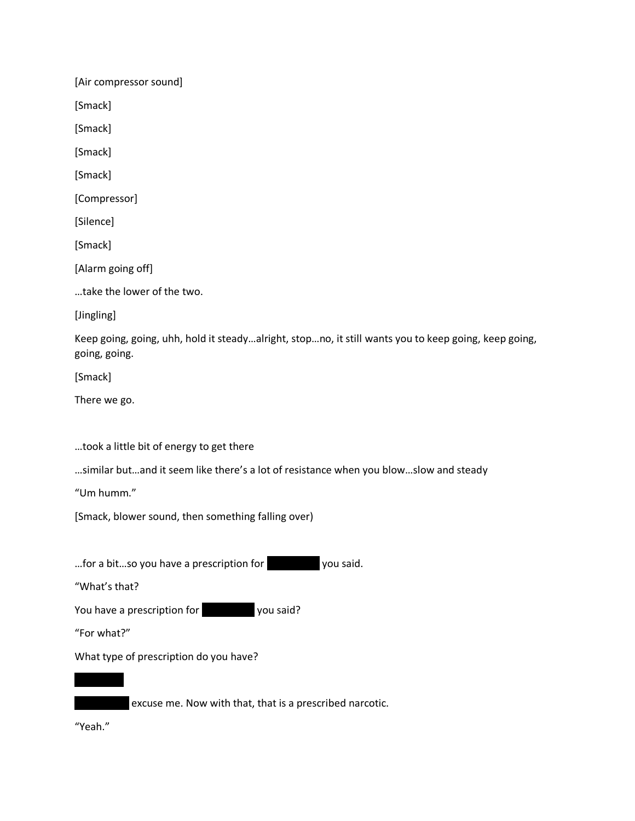[Air compressor sound]

[Smack]

[Smack]

[Smack]

[Smack]

[Compressor]

[Silence]

[Smack]

[Alarm going off]

…take the lower of the two.

[Jingling]

Keep going, going, uhh, hold it steady…alright, stop…no, it still wants you to keep going, keep going, going, going.

[Smack]

There we go.

…took a little bit of energy to get there

…similar but…and it seem like there's a lot of resistance when you blow…slow and steady

"Um humm."

[Smack, blower sound, then something falling over)

... for a bit...so you have a prescription for you said.

"What's that?

You have a prescription for you said?

"For what?"

What type of prescription do you have?



excuse me. Now with that, that is a prescribed narcotic.

"Yeah."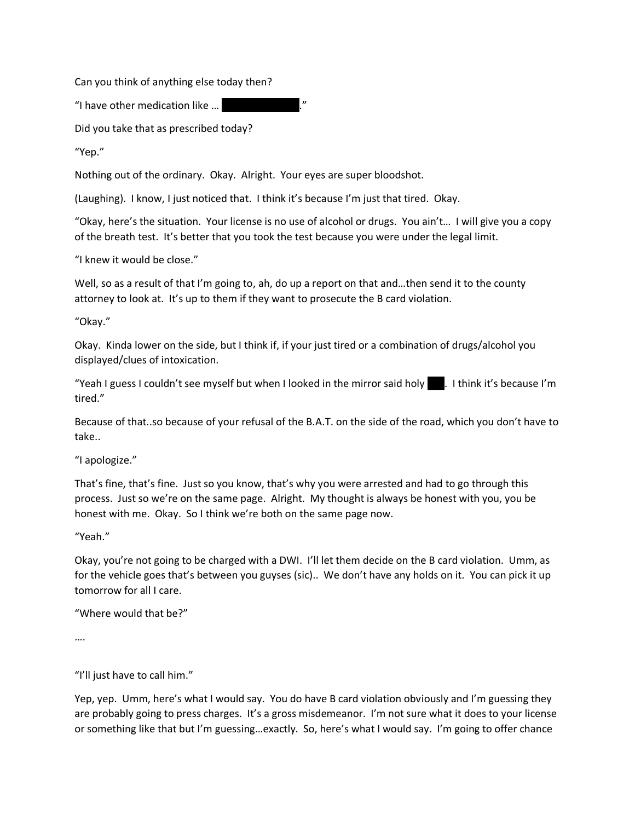Can you think of anything else today then?

"I have other medication like ...

Did you take that as prescribed today?

"Yep."

Nothing out of the ordinary. Okay. Alright. Your eyes are super bloodshot.

(Laughing). I know, I just noticed that. I think it's because I'm just that tired. Okay.

"Okay, here's the situation. Your license is no use of alcohol or drugs. You ain't… I will give you a copy of the breath test. It's better that you took the test because you were under the legal limit.

"I knew it would be close."

Well, so as a result of that I'm going to, ah, do up a report on that and...then send it to the county attorney to look at. It's up to them if they want to prosecute the B card violation.

"Okay."

Okay. Kinda lower on the side, but I think if, if your just tired or a combination of drugs/alcohol you displayed/clues of intoxication.

"Yeah I guess I couldn't see myself but when I looked in the mirror said holy  $\blacksquare$ . I think it's because I'm tired."

Because of that..so because of your refusal of the B.A.T. on the side of the road, which you don't have to take..

"I apologize."

That's fine, that's fine. Just so you know, that's why you were arrested and had to go through this process. Just so we're on the same page. Alright. My thought is always be honest with you, you be honest with me. Okay. So I think we're both on the same page now.

"Yeah."

Okay, you're not going to be charged with a DWI. I'll let them decide on the B card violation. Umm, as for the vehicle goes that's between you guyses (sic).. We don't have any holds on it. You can pick it up tomorrow for all I care.

"Where would that be?"

….

"I'll just have to call him."

Yep, yep. Umm, here's what I would say. You do have B card violation obviously and I'm guessing they are probably going to press charges. It's a gross misdemeanor. I'm not sure what it does to your license or something like that but I'm guessing…exactly. So, here's what I would say. I'm going to offer chance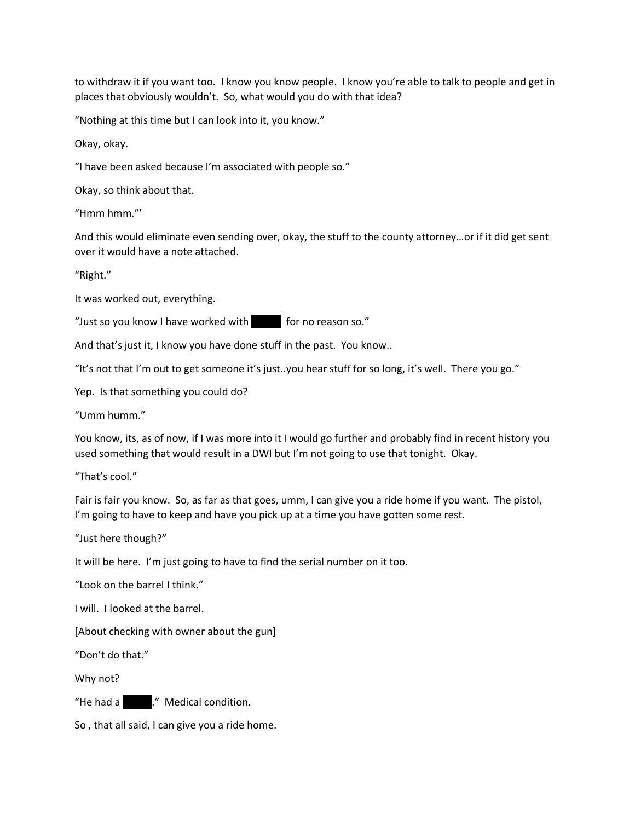to withdraw it if you want too. I know you know people. I know you're able to talk to people and get in places that obviously wouldn't. So, what would you do with that idea?

"Nothing at this time but I can look into it, you know."

Okay, okay.

"I have been asked because I'm associated with people so."

Okay, so think about that.

"Hmm hmm."'

And this would eliminate even sending over, okay, the stuff to the county attorney…or if it did get sent over it would have a note attached.

"Right."

It was worked out, everything.

"Just so you know I have worked with for no reason so."

And that's just it, I know you have done stuff in the past. You know..

"It's not that I'm out to get someone it's just..you hear stuff for so long, it's well. There you go."

Yep. Is that something you could do?

"Umm humm."

You know, its, as of now, if I was more into it I would go further and probably find in recent history you used something that would result in a DWI but I'm not going to use that tonight. Okay.

"That's cool."

Fair is fair you know. So, as far as that goes, umm, I can give you a ride home if you want. The pistol, I'm going to have to keep and have you pick up at a time you have gotten some rest.

"Just here though?"

It will be here. I'm just going to have to find the serial number on it too.

"Look on the barrel I think."

I will. I looked at the barrel.

[About checking with owner about the gun]

"Don't do that."

Why not?

"He had a strate." Medical condition.

So , that all said, I can give you a ride home.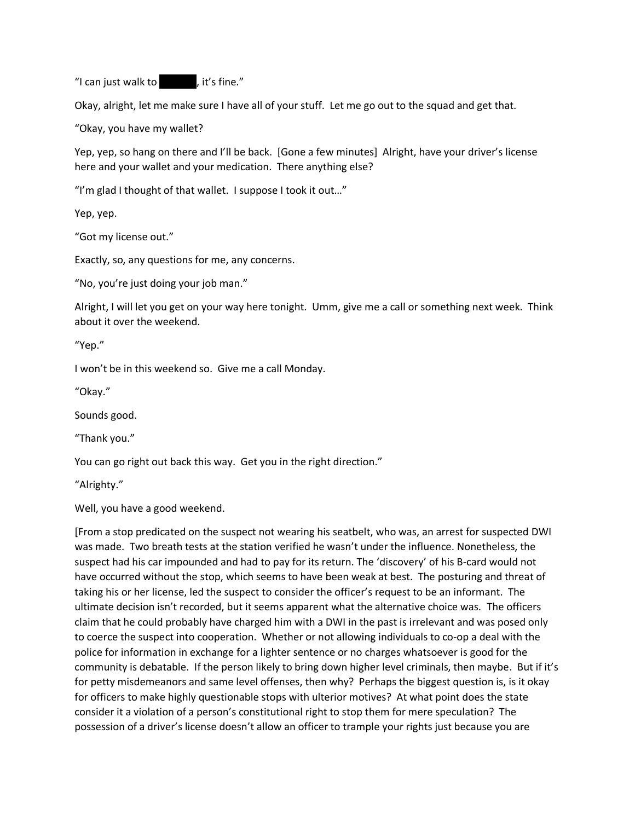"I can just walk to  $\blacksquare$ , it's fine."

Okay, alright, let me make sure I have all of your stuff. Let me go out to the squad and get that.

"Okay, you have my wallet?

Yep, yep, so hang on there and I'll be back. [Gone a few minutes] Alright, have your driver's license here and your wallet and your medication. There anything else?

"I'm glad I thought of that wallet. I suppose I took it out…"

Yep, yep.

"Got my license out."

Exactly, so, any questions for me, any concerns.

"No, you're just doing your job man."

Alright, I will let you get on your way here tonight. Umm, give me a call or something next week. Think about it over the weekend.

"Yep."

I won't be in this weekend so. Give me a call Monday.

"Okay."

Sounds good.

"Thank you."

You can go right out back this way. Get you in the right direction."

"Alrighty."

Well, you have a good weekend.

[From a stop predicated on the suspect not wearing his seatbelt, who was, an arrest for suspected DWI was made. Two breath tests at the station verified he wasn't under the influence. Nonetheless, the suspect had his car impounded and had to pay for its return. The 'discovery' of his B-card would not have occurred without the stop, which seems to have been weak at best. The posturing and threat of taking his or her license, led the suspect to consider the officer's request to be an informant. The ultimate decision isn't recorded, but it seems apparent what the alternative choice was. The officers claim that he could probably have charged him with a DWI in the past is irrelevant and was posed only to coerce the suspect into cooperation. Whether or not allowing individuals to co-op a deal with the police for information in exchange for a lighter sentence or no charges whatsoever is good for the community is debatable. If the person likely to bring down higher level criminals, then maybe. But if it's for petty misdemeanors and same level offenses, then why? Perhaps the biggest question is, is it okay for officers to make highly questionable stops with ulterior motives? At what point does the state consider it a violation of a person's constitutional right to stop them for mere speculation? The possession of a driver's license doesn't allow an officer to trample your rights just because you are